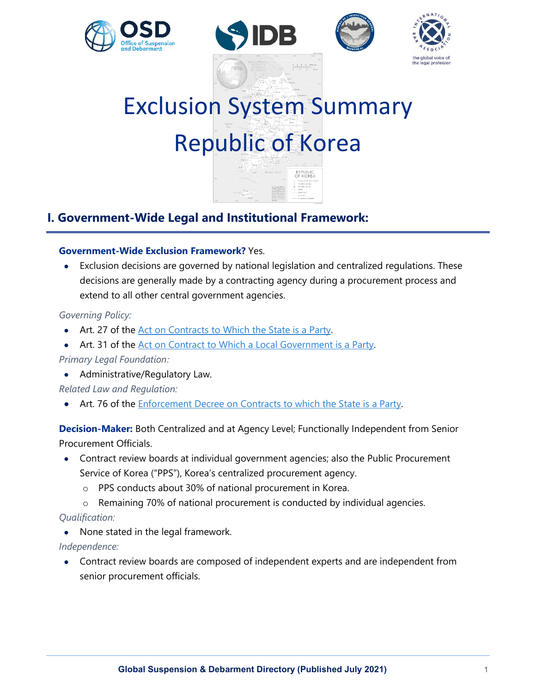







# Exclusion System Summary Republic of Korea

# **I. Government-Wide Legal and Institutional Framework:**

# **Government-Wide Exclusion Framework?** Yes.

• Exclusion decisions are governed by national legislation and centralized regulations. These decisions are generally made by a contracting agency during a procurement process and extend to all other central government agencies.

# *Governing Policy:*

- Art. 27 of the [Act on Contracts to Which the State is a Party.](https://www.law.go.kr/LSW/lsInfoP.do?lsiSeq=199735&viewCls=engLsInfoR&urlMode=engLsInfoR#0000)
- Art. 31 of the [Act on Contract to Which a Local Government is a Party.](https://elaw.klri.re.kr/eng_mobile/viewer.do?hseq=49565&type=lawname&key=Act+on+Contracts+to+which+a+Local+Government+is+a+Party)

*Primary Legal Foundation:*

• Administrative/Regulatory Law.

*Related Law and Regulation:*

• Art. 76 of the [Enforcement Decree on Contracts to which the State is a Party.](https://elaw.klri.re.kr/eng_mobile/viewer.do?hseq=51345&type=lawname&key=ENFORCEMENT+DECREE+OF+THE+ACT+ON+CONTRACTS+TO+WHICH+THE+STATE+IS+A+PARTY)

**Decision-Maker:** Both Centralized and at Agency Level; Functionally Independent from Senior Procurement Officials.

- Contract review boards at individual government agencies; also the Public Procurement Service of Korea ("PPS"), Korea's centralized procurement agency.
	- o PPS conducts about 30% of national procurement in Korea.
	- o Remaining 70% of national procurement is conducted by individual agencies.

*Qualification:*

• None stated in the legal framework.

*Independence:*

• Contract review boards are composed of independent experts and are independent from senior procurement officials.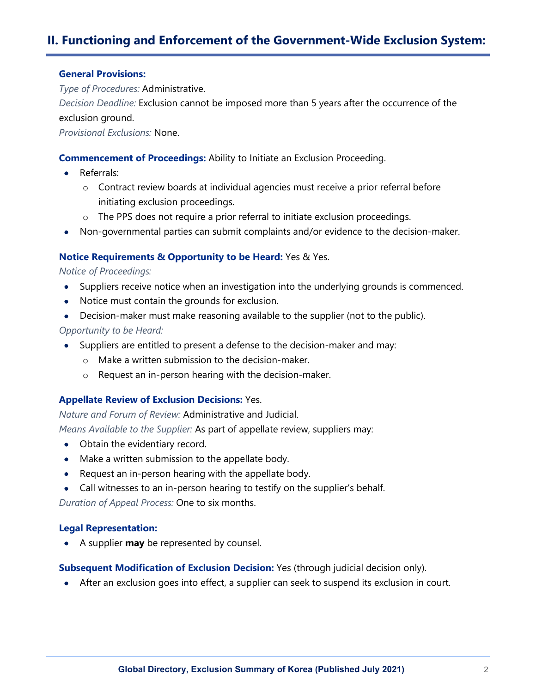# **II. Functioning and Enforcement of the Government-Wide Exclusion System:**

#### **General Provisions:**

*Type of Procedures:* Administrative.

*Decision Deadline:* Exclusion cannot be imposed more than 5 years after the occurrence of the exclusion ground.

*Provisional Exclusions:* None.

### **Commencement of Proceedings:** Ability to Initiate an Exclusion Proceeding.

- Referrals:
	- o Contract review boards at individual agencies must receive a prior referral before initiating exclusion proceedings.
	- $\circ$  The PPS does not require a prior referral to initiate exclusion proceedings.
- Non-governmental parties can submit complaints and/or evidence to the decision-maker.

#### **Notice Requirements & Opportunity to be Heard:** Yes & Yes.

*Notice of Proceedings:*

- Suppliers receive notice when an investigation into the underlying grounds is commenced.
- Notice must contain the grounds for exclusion.
- Decision-maker must make reasoning available to the supplier (not to the public).

#### *Opportunity to be Heard:*

- Suppliers are entitled to present a defense to the decision-maker and may:
	- o Make a written submission to the decision-maker.
	- o Request an in-person hearing with the decision-maker.

## **Appellate Review of Exclusion Decisions:** Yes.

*Nature and Forum of Review:* Administrative and Judicial.

*Means Available to the Supplier:* As part of appellate review, suppliers may:

- Obtain the evidentiary record.
- Make a written submission to the appellate body.
- Request an in-person hearing with the appellate body.
- Call witnesses to an in-person hearing to testify on the supplier's behalf.

*Duration of Appeal Process:* One to six months.

#### **Legal Representation:**

• A supplier **may** be represented by counsel.

**Subsequent Modification of Exclusion Decision:** Yes (through judicial decision only).

• After an exclusion goes into effect, a supplier can seek to suspend its exclusion in court.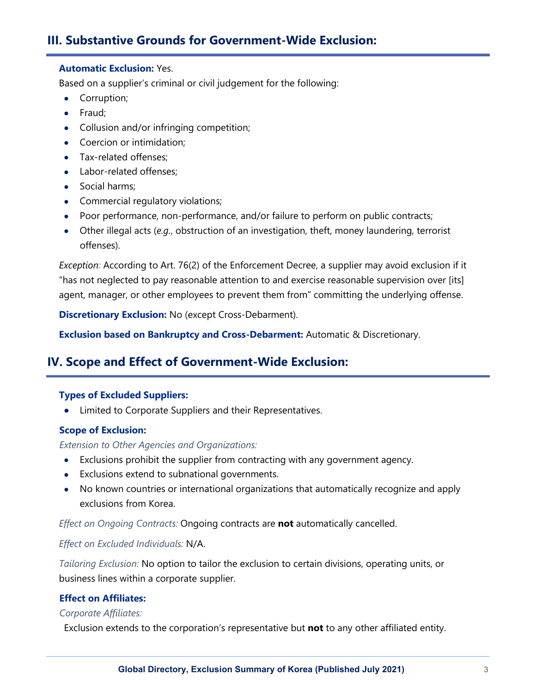# **III. Substantive Grounds for Government-Wide Exclusion:**

## **Automatic Exclusion:** Yes.

Based on a supplier's criminal or civil judgement for the following:

- Corruption;
- Fraud;
- Collusion and/or infringing competition;
- Coercion or intimidation;
- Tax-related offenses:
- Labor-related offenses;
- Social harms;
- Commercial regulatory violations;
- Poor performance, non-performance, and/or failure to perform on public contracts;
- Other illegal acts (*e.g.*, obstruction of an investigation, theft, money laundering, terrorist offenses).

*Exception:* According to Art. 76(2) of the Enforcement Decree, a supplier may avoid exclusion if it "has not neglected to pay reasonable attention to and exercise reasonable supervision over [its] agent, manager, or other employees to prevent them from" committing the underlying offense.

**Discretionary Exclusion:** No (except Cross-Debarment).

**Exclusion based on Bankruptcy and Cross-Debarment:** Automatic & Discretionary.

# **IV. Scope and Effect of Government-Wide Exclusion:**

# **Types of Excluded Suppliers:**

• Limited to Corporate Suppliers and their Representatives.

# **Scope of Exclusion:**

# *Extension to Other Agencies and Organizations:*

- Exclusions prohibit the supplier from contracting with any government agency.
- Exclusions extend to subnational governments.
- No known countries or international organizations that automatically recognize and apply exclusions from Korea.

*Effect on Ongoing Contracts:* Ongoing contracts are **not** automatically cancelled.

# *Effect on Excluded Individuals:* N/A.

*Tailoring Exclusion:* No option to tailor the exclusion to certain divisions, operating units, or business lines within a corporate supplier.

# **Effect on Affiliates:**

# *Corporate Affiliates:*

Exclusion extends to the corporation's representative but **not** to any other affiliated entity.